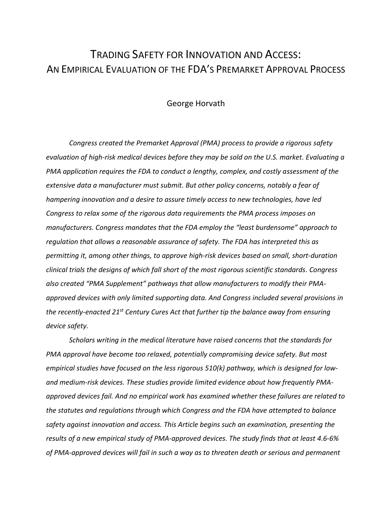## TRADING SAFETY FOR INNOVATION AND ACCESS: AN EMPIRICAL EVALUATION OF THE FDA'S PREMARKET APPROVAL PROCESS

## George Horvath

*Congress created the Premarket Approval (PMA) process to provide a rigorous safety evaluation of high-risk medical devices before they may be sold on the U.S. market. Evaluating a PMA application requires the FDA to conduct a lengthy, complex, and costly assessment of the extensive data a manufacturer must submit. But other policy concerns, notably a fear of hampering innovation and a desire to assure timely access to new technologies, have led Congress to relax some of the rigorous data requirements the PMA process imposes on manufacturers. Congress mandates that the FDA employ the "least burdensome" approach to regulation that allows a reasonable assurance of safety. The FDA has interpreted this as permitting it, among other things, to approve high-risk devices based on small, short-duration clinical trials the designs of which fall short of the most rigorous scientific standards. Congress also created "PMA Supplement" pathways that allow manufacturers to modify their PMAapproved devices with only limited supporting data. And Congress included several provisions in the recently-enacted 21st Century Cures Act that further tip the balance away from ensuring device safety.*

*Scholars writing in the medical literature have raised concerns that the standards for PMA approval have become too relaxed, potentially compromising device safety. But most empirical studies have focused on the less rigorous 510(k) pathway, which is designed for lowand medium-risk devices. These studies provide limited evidence about how frequently PMAapproved devices fail. And no empirical work has examined whether these failures are related to the statutes and regulations through which Congress and the FDA have attempted to balance safety against innovation and access. This Article begins such an examination, presenting the results of a new empirical study of PMA-approved devices. The study finds that at least 4.6-6% of PMA-approved devices will fail in such a way as to threaten death or serious and permanent*